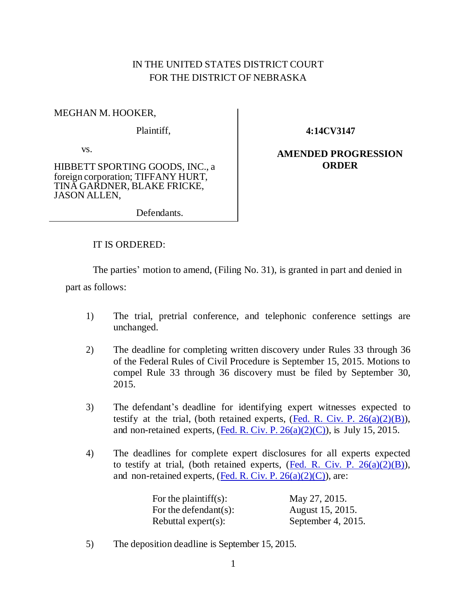## IN THE UNITED STATES DISTRICT COURT FOR THE DISTRICT OF NEBRASKA

## MEGHAN M. HOOKER,

Plaintiff,

vs.

HIBBETT SPORTING GOODS, INC., a foreign corporation; TIFFANY HURT, TINA GARDNER, BLAKE FRICKE, JASON ALLEN,

**4:14CV3147**

## **AMENDED PROGRESSION ORDER**

Defendants.

## IT IS ORDERED:

The parties' motion to amend, (Filing No. 31), is granted in part and denied in part as follows:

- 1) The trial, pretrial conference, and telephonic conference settings are unchanged.
- 2) The deadline for completing written discovery under Rules 33 through 36 of the Federal Rules of Civil Procedure is September 15, 2015. Motions to compel Rule 33 through 36 discovery must be filed by September 30, 2015.
- 3) The defendant's deadline for identifying expert witnesses expected to testify at the trial, (both retained experts,  $(Fed. R. Civ. P. 26(a)(2)(B))$  $(Fed. R. Civ. P. 26(a)(2)(B))$ , and non-retained experts,  $($ <u>Fed. R. Civ. P. 26(a)(2)(C)</u>), is July 15, 2015.
- 4) The deadlines for complete expert disclosures for all experts expected to testify at trial, (both retained experts,  $(Fed. R. Civ. P. 26(a)(2)(B))$  $(Fed. R. Civ. P. 26(a)(2)(B))$ , and non-retained experts, (Fed. R. Civ. P.  $26(a)(2)(C)$ ), are:

| For the plaintiff $(s)$ : | May 27, 2015.         |
|---------------------------|-----------------------|
| For the defendant(s):     | August 15, 2015.      |
| Rebuttal expert(s):       | September 4, $2015$ . |

5) The deposition deadline is September 15, 2015.